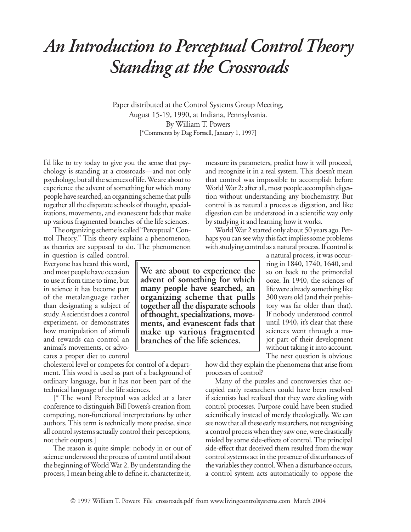## *An Introduction to Perceptual Control Theory Standing at the Crossroads*

Paper distributed at the Control Systems Group Meeting, August 15-19, 1990, at Indiana, Pennsylvania. By William T. Powers [\*Comments by Dag Forssell, January 1, 1997]

I'd like to try today to give you the sense that psychology is standing at a crossroads—and not only psychology, but all the sciences of life. We are about to experience the advent of something for which many people have searched, an organizing scheme that pulls together all the disparate schools of thought, specializations, movements, and evanescent fads that make up various fragmented branches of the life sciences.

The organizing scheme is called "Perceptual\* Control Theory." This theory explains a phenomenon, as theories are supposed to do. The phenomenon

in question is called control. Everyone has heard this word, and most people have occasion to use it from time to time, but in science it has become part of the metalanguage rather than designating a subject of study. A scientist does a control experiment, or demonstrates how manipulation of stimuli and rewards can control an animal's movements, or advocates a proper diet to control

cholesterol level or competes for control of a department. This word is used as part of a background of ordinary language, but it has not been part of the technical language of the life sciences.

[\* The word Perceptual was added at a later conference to distinguish Bill Powers's creation from competing, non-functional interpretations by other authors. This term is technically more precise, since all control systems actually control their perceptions, not their outputs.]

The reason is quite simple: nobody in or out of science understood the process of control until about the beginning of World War 2. By understanding the process, I mean being able to define it, characterize it,

measure its parameters, predict how it will proceed, and recognize it in a real system. This doesn't mean that control was impossible to accomplish before World War 2: after all, most people accomplish digestion without understanding any biochemistry. But control is as natural a process as digestion, and like digestion can be understood in a scientific way only by studying it and learning how it works.

World War 2 started only about 50 years ago. Perhaps you can see why this fact implies some problems with studying control as a natural process. If control is

a natural process, it was occurring in 1840, 1740, 1640, and so on back to the primordial ooze. In 1940, the sciences of life were already something like 300 years old (and their prehistory was far older than that). If nobody understood control until 1940, it's clear that these sciences went through a major part of their development without taking it into account. The next question is obvious:

how did they explain the phenomena that arise from processes of control?

Many of the puzzles and controversies that occupied early researchers could have been resolved if scientists had realized that they were dealing with control processes. Purpose could have been studied scientifically instead of merely theologically. We can see now that all these early researchers, not recognizing a control process when they saw one, were drastically misled by some side-effects of control. The principal side-effect that deceived them resulted from the way control systems act in the presence of disturbances of the variables they control. When a disturbance occurs, a control system acts automatically to oppose the

**We are about to experience the advent of something for which many people have searched, an organizing scheme that pulls together all the disparate schools of thought, specializations, move- ments, and evanescent fads that make up various fragmented branches of the life sciences.**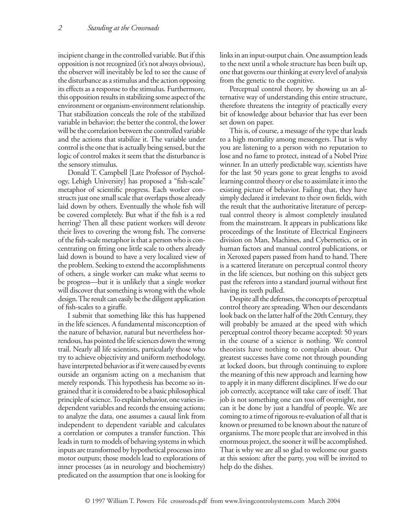incipient change in the controlled variable. But if this opposition is not recognized (it's not always obvious), the observer will inevitably be led to see the cause of the disturbance as a stimulus and the action opposing its effects as a response to the stimulus. Furthermore, this opposition results in stabilizing some aspect of the environment or organism-environment relationship. That stabilization conceals the role of the stabilized variable in behavior; the better the control, the lower will be the correlation between the controlled variable and the actions that stabilize it. The variable under control is the one that is actually being sensed, but the logic of control makes it seem that the disturbance is the sensory stimulus.

Donald T. Campbell [Late Professor of Psychology, Lehigh University] has proposed a "fish-scale" metaphor of scientific progress. Each worker constructs just one small scale that overlaps those already laid down by others. Eventually the whole fish will be covered completely. But what if the fish is a red herring? Then all these patient workers will devote their lives to covering the wrong fish. The converse of the fish-scale metaphor is that a person who is concentrating on fitting one little scale to others already laid down is bound to have a very localized view of the problem. Seeking to extend the accomplishments of others, a single worker can make what seems to be progress—but it is unlikely that a single worker will discover that something is wrong with the whole design. The result can easily be the diligent application of fish-scales to a giraffe.

I submit that something like this has happened in the life sciences. A fundamental misconception of the nature of behavior, natural but nevertheless horrendous, has pointed the life sciences down the wrong trail. Nearly all life scientists, particularly those who try to achieve objectivity and uniform methodology, have interpreted behavior as if it were caused by events outside an organism acting on a mechanism that merely responds. This hypothesis has become so ingrained that it is considered to be a basic philosophical principle of science. To explain behavior, one varies independent variables and records the ensuing actions; to analyze the data, one assumes a causal link from independent to dependent variable and calculates a correlation or computes a transfer function. This leads in turn to models of behaving systems in which inputs are transformed by hypothetical processes into motor outputs; those models lead to explorations of inner processes (as in neurology and biochemistry) predicated on the assumption that one is looking for

links in an input-output chain. One assumption leads to the next until a whole structure has been built up, one that governs our thinking at every level of analysis from the genetic to the cognitive.

Perceptual control theory, by showing us an alternative way of understanding this entire structure, therefore threatens the integrity of practically every bit of knowledge about behavior that has ever been set down on paper.

This is, of course, a message of the type that leads to a high mortality among messengers. That is why you are listening to a person with no reputation to lose and no fame to protect, instead of a Nobel Prize winner. In an utterly predictable way, scientists have for the last 50 years gone to great lengths to avoid learning control theory or else to assimilate it into the existing picture of behavior. Failing that, they have simply declared it irrelevant to their own fields, with the result that the authoritative literature of perceptual control theory is almost completely insulated from the mainstream. It appears in publications like proceedings of the Institute of Electrical Engineers division on Man, Machines, and Cybernetics, or in human factors and manual control publications, or in Xeroxed papers passed from hand to hand. There is a scattered literature on perceptual control theory in the life sciences, but nothing on this subject gets past the referees into a standard journal without first having its teeth pulled.

Despite all the defenses, the concepts of perceptual control theory are spreading. When our descendants look back on the latter half of the 20th Century, they will probably be amazed at the speed with which perceptual control theory became accepted: 50 years in the course of a science is nothing. We control theorists have nothing to complain about. Our greatest successes have come not through pounding at locked doors, but through continuing to explore the meaning of this new approach and learning how to apply it in many different disciplines. If we do our job correctly, acceptance will take care of itself. That job is not something one can toss off overnight, nor can it be done by just a handful of people. We are coming to a time of rigorous re-evaluation of all that is known or presumed to be known about the nature of organisms. The more people that are involved in this enormous project, the sooner it will be accomplished. That is why we are all so glad to welcome our guests at this session: after the party, you will be invited to help do the dishes.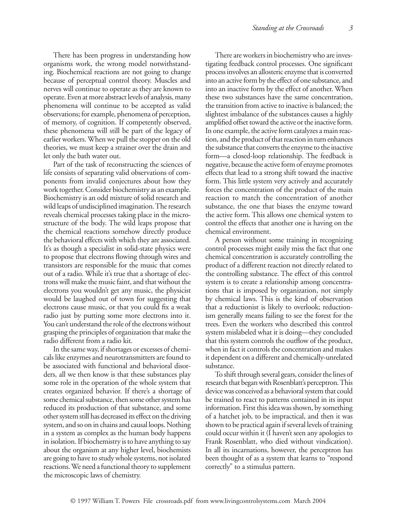There has been progress in understanding how organisms work, the wrong model notwithstanding. Biochemical reactions are not going to change because of perceptual control theory. Muscles and nerves will continue to operate as they are known to operate. Even at more abstract levels of analysis, many phenomena will continue to be accepted as valid observations; for example, phenomena of perception, of memory, of cognition. If competently observed, these phenomena will still be part of the legacy of earlier workers. When we pull the stopper on the old theories, we must keep a strainer over the drain and let only the bath water out.

Part of the task of reconstructing the sciences of life consists of separating valid observations of components from invalid conjectures about how they work together. Consider biochemistry as an example. Biochemistry is an odd mixture of solid research and wild leaps of undisciplined imagination. The research reveals chemical processes taking place in the microstructure of the body. The wild leaps propose that the chemical reactions somehow directly produce the behavioral effects with which they are associated. It's as though a specialist in solid-state physics were to propose that electrons flowing through wires and transistors are responsible for the music that comes out of a radio. While it's true that a shortage of electrons will make the music faint, and that without the electrons you wouldn't get any music, the physicist would be laughed out of town for suggesting that electrons cause music, or that you could fix a weak radio just by putting some more electrons into it. You can't understand the role of the electrons without grasping the principles of organization that make the radio different from a radio kit.

In the same way, if shortages or excesses of chemicals like enzymes and neurotransmitters are found to be associated with functional and behavioral disorders, all we then know is that these substances play some role in the operation of the whole system that creates organized behavior. If there's a shortage of some chemical substance, then some other system has reduced its production of that substance, and some other system still has decreased its effect on the driving system, and so on in chains and causal loops. Nothing in a system as complex as the human body happens in isolation. If biochemistry is to have anything to say about the organism at any higher level, biochemists are going to have to study whole systems, not isolated reactions. We need a functional theory to supplement the microscopic laws of chemistry.

There are workers in biochemistry who are investigating feedback control processes. One significant process involves an allosteric enzyme that is converted into an active form by the effect of one substance, and into an inactive form by the effect of another. When these two substances have the same concentration, the transition from active to inactive is balanced; the slightest imbalance of the substances causes a highly amplified offset toward the active or the inactive form. In one example, the active form catalyzes a main reaction, and the product of that reaction in turn enhances the substance that converts the enzyme to the inactive form—a closed-loop relationship. The feedback is negative, because the active form of enzyme promotes effects that lead to a strong shift toward the inactive form. This little system very actively and accurately forces the concentration of the product of the main reaction to match the concentration of another substance, the one that biases the enzyme toward the active form. This allows one chemical system to control the effects that another one is having on the chemical environment.

A person without some training in recognizing control processes might easily miss the fact that one chemical concentration is accurately controlling the product of a different reaction not directly related to the controlling substance. The effect of this control system is to create a relationship among concentrations that is imposed by organization, not simply by chemical laws. This is the kind of observation that a reductionist is likely to overlook; reductionism generally means failing to see the forest for the trees. Even the workers who described this control system mislabeled what it is doing—they concluded that this system controls the outflow of the product, when in fact it controls the concentration and makes it dependent on a different and chemically-unrelated substance.

To shift through several gears, consider the lines of research that began with Rosenblatt's perceptron. This device was conceived as a behavioral system that could be trained to react to patterns contained in its input information. First this idea was shown, by something of a hatchet job, to be impractical, and then it was shown to be practical again if several levels of training could occur within it (I haven't seen any apologies to Frank Rosenblatt, who died without vindication). In all its incarnations, however, the perceptron has been thought of as a system that learns to "respond correctly" to a stimulus pattern.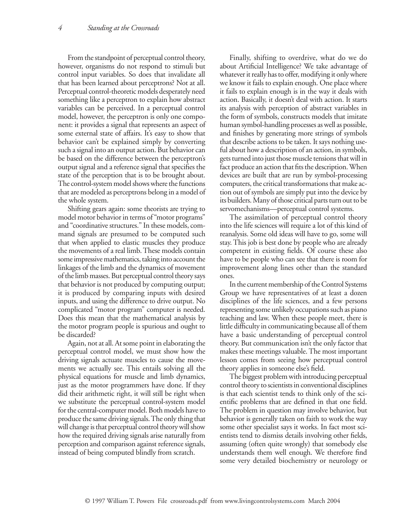From the standpoint of perceptual control theory, however, organisms do not respond to stimuli but control input variables. So does that invalidate all that has been learned about perceptrons? Not at all. Perceptual control-theoretic models desperately need something like a perceptron to explain how abstract variables can be perceived. In a perceptual control model, however, the perceptron is only one component: it provides a signal that represents an aspect of some external state of affairs. It's easy to show that behavior can't be explained simply by converting such a signal into an output action. But behavior can be based on the difference between the perceptron's output signal and a reference signal that specifies the state of the perception that is to be brought about. The control-system model shows where the functions that are modeled as perceptrons belong in a model of the whole system.

Shifting gears again: some theorists are trying to model motor behavior in terms of "motor programs" and "coordinative structures." In these models, command signals are presumed to be computed such that when applied to elastic muscles they produce the movements of a real limb. These models contain some impressive mathematics, taking into account the linkages of the limb and the dynamics of movement of the limb masses. But perceptual control theory says that behavior is not produced by computing output; it is produced by comparing inputs with desired inputs, and using the difference to drive output. No complicated "motor program" computer is needed. Does this mean that the mathematical analysis by the motor program people is spurious and ought to be discarded?

Again, not at all. At some point in elaborating the perceptual control model, we must show how the driving signals actuate muscles to cause the movements we actually see. This entails solving all the physical equations for muscle and limb dynamics, just as the motor programmers have done. If they did their arithmetic right, it will still be right when we substitute the perceptual control-system model for the central-computer model. Both models have to produce the same driving signals. The only thing that will change is that perceptual control theory will show how the required driving signals arise naturally from perception and comparison against reference signals, instead of being computed blindly from scratch.

Finally, shifting to overdrive, what do we do about Artificial Intelligence? We take advantage of whatever it really has to offer, modifying it only where we know it fails to explain enough. One place where it fails to explain enough is in the way it deals with action. Basically, it doesn't deal with action. It starts its analysis with perception of abstract variables in the form of symbols, constructs models that imitate human symbol-handling processes as well as possible, and finishes by generating more strings of symbols that describe actions to be taken. It says nothing useful about how a description of an action, in symbols, gets turned into just those muscle tensions that will in fact produce an action that fits the description. When devices are built that are run by symbol-processing computers, the critical transformations that make action out of symbols are simply put into the device by its builders. Many of those critical parts turn out to be servomechanisms—perceptual control systems.

The assimilation of perceptual control theory into the life sciences will require a lot of this kind of reanalysis. Some old ideas will have to go, some will stay. This job is best done by people who are already competent in existing fields. Of course these also have to be people who can see that there is room for improvement along lines other than the standard ones.

In the current membership of the Control Systems Group we have representatives of at least a dozen disciplines of the life sciences, and a few persons representing some unlikely occupations such as piano teaching and law. When these people meet, there is little difficulty in communicating because all of them have a basic understanding of perceptual control theory. But communication isn't the only factor that makes these meetings valuable. The most important lesson comes from seeing how perceptual control theory applies in someone else's field.

The biggest problem with introducing perceptual control theory to scientists in conventional disciplines is that each scientist tends to think only of the scientific problems that are defined in that one field. The problem in question may involve behavior, but behavior is generally taken on faith to work the way some other specialist says it works. In fact most scientists tend to dismiss details involving other fields, assuming (often quite wrongly) that somebody else understands them well enough. We therefore find some very detailed biochemistry or neurology or